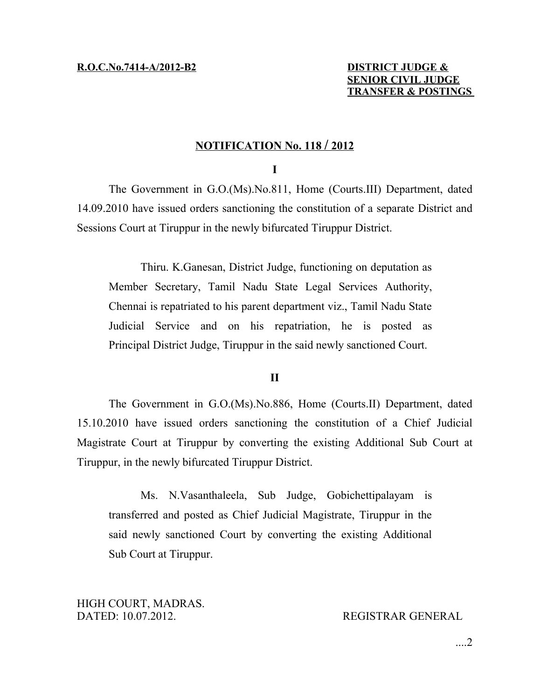## **N OTIFICATION No. 118 / 2 012**

## **I**

The Government in G.O.(Ms).No.811, Home (Courts.III) Department, dated 14.09.2010 have issued orders sanctioning the constitution of a separate District and Sessions Court at Tiruppur in the newly bifurcated Tiruppur District.

Thiru. K.Ganesan, District Judge, functioning on deputation as Member Secretary, Tamil Nadu State Legal Services Authority, Chennai is repatriated to his parent department viz., Tamil Nadu State Judicial Service and on his repatriation, he is posted as Principal District Judge, Tiruppur in the said newly sanctioned Court.

## **II**

The Government in G.O.(Ms).No.886, Home (Courts.II) Department, dated 15.10.2010 have issued orders sanctioning the constitution of a Chief Judicial Magistrate Court at Tiruppur by converting the existing Additional Sub Court at Tiruppur, in the newly bifurcated Tiruppur District.

Ms. N.Vasanthaleela, Sub Judge, Gobichettipalayam is transferred and posted as Chief Judicial Magistrate, Tiruppur in the said newly sanctioned Court by converting the existing Additional Sub Court at Tiruppur.

HIGH COURT, MADRAS. DATED: 10.07.2012. REGISTRAR GENERAL